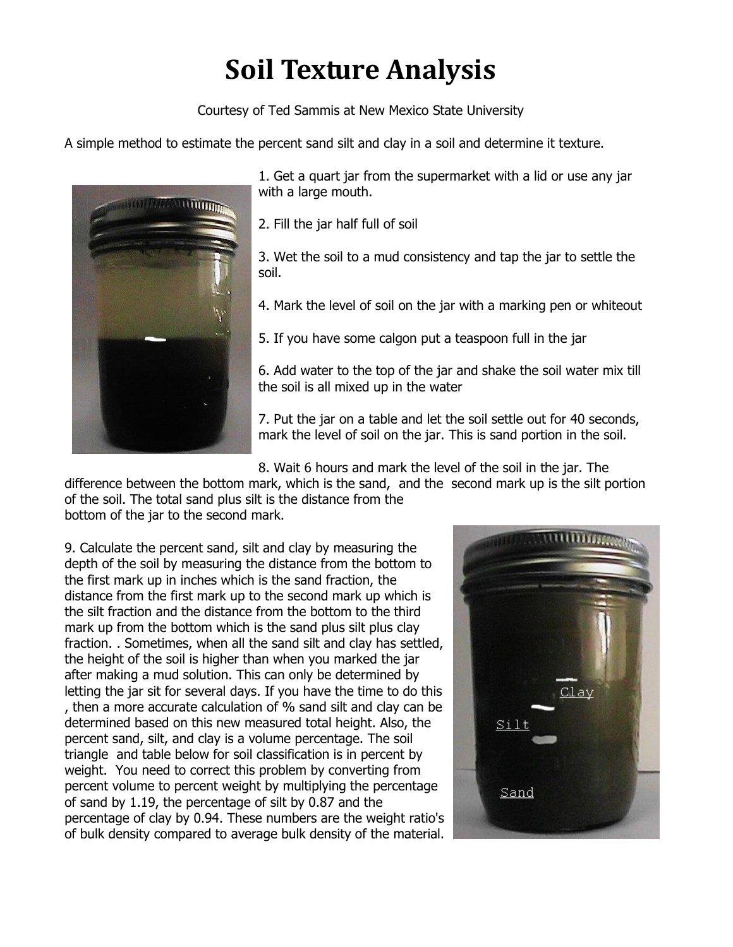## **Soil%Texture%Analysis**

Courtesy of Ted Sammis at New Mexico State University

A simple method to estimate the percent sand silt and clay in a soil and determine it texture.



1. Get a quart jar from the supermarket with a lid or use any jar with a large mouth.

2. Fill the jar half full of soil

3. Wet the soil to a mud consistency and tap the jar to settle the soil.

4. Mark the level of soil on the jar with a marking pen or whiteout

5. If you have some calgon put a teaspoon full in the jar

6. Add water to the top of the jar and shake the soil water mix till the soil is all mixed up in the water

7. Put the jar on a table and let the soil settle out for 40 seconds, mark the level of soil on the jar. This is sand portion in the soil.

8. Wait 6 hours and mark the level of the soil in the jar. The

difference between the bottom mark, which is the sand, and the second mark up is the silt portion of the soil. The total sand plus silt is the distance from the

bottom of the jar to the second mark.

9. Calculate the percent sand, silt and clay by measuring the depth of the soil by measuring the distance from the bottom to the first mark up in inches which is the sand fraction, the distance from the first mark up to the second mark up which is the silt fraction and the distance from the bottom to the third mark up from the bottom which is the sand plus silt plus clay fraction... Sometimes, when all the sand silt and clay has settled, the height of the soil is higher than when you marked the jar after making a mud solution. This can only be determined by letting the jar sit for several days. If you have the time to do this , then a more accurate calculation of % sand silt and clay can be determined based on this new measured total height. Also, the percent sand, silt, and clay is a volume percentage. The soil triangle and table below for soil classification is in percent by weight. You need to correct this problem by converting from percent volume to percent weight by multiplying the percentage of sand by 1.19, the percentage of silt by 0.87 and the percentage of clay by 0.94. These numbers are the weight ratio's of bulk density compared to average bulk density of the material.